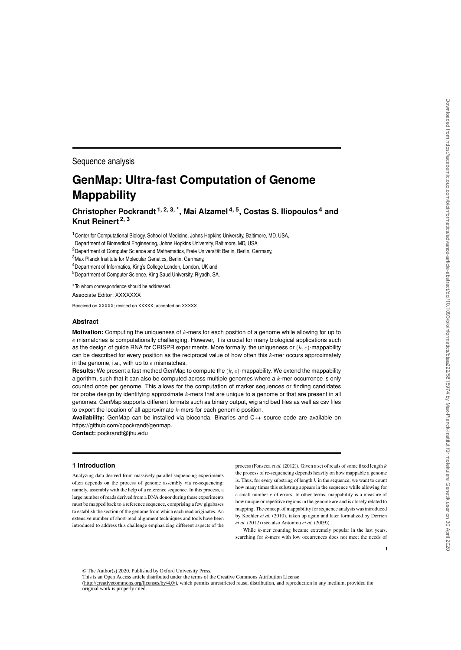Sequence analysis

# **GenMap: Ultra-fast Computation of Genome Mappability**

**Christopher Pockrandt 1, 2, 3, \*, Mai Alzamel 4, 5, Costas S. Iliopoulos <sup>4</sup> and Knut Reinert 2, 3**

<sup>1</sup> Center for Computational Biology, School of Medicine, Johns Hopkins University, Baltimore, MD, USA,

Department of Biomedical Engineering, Johns Hopkins University, Baltimore, MD, USA

<sup>2</sup> Department of Computer Science and Mathematics, Freie Universität Berlin, Berlin, Germany,

<sup>3</sup>Max Planck Institute for Molecular Genetics, Berlin, Germany,

<sup>4</sup>Department of Informatics, King's College London, London, UK and

<sup>5</sup>Department of Computer Science, King Saud University, Riyadh, SA.

<sup>∗</sup>To whom correspondence should be addressed.

Associate Editor: XXXXXXX

Received on XXXXX; revised on XXXXX; accepted on XXXXX

# **Abstract**

**Motivation:** Computing the uniqueness of k-mers for each position of a genome while allowing for up to  $e$  mismatches is computationally challenging. However, it is crucial for many biological applications such as the design of guide RNA for CRISPR experiments. More formally, the uniqueness or  $(k, e)$ -mappability can be described for every position as the reciprocal value of how often this  $k$ -mer occurs approximately in the genome, i.e., with up to  $e$  mismatches.

**Results:** We present a fast method GenMap to compute the (k, e)-mappability. We extend the mappability algorithm, such that it can also be computed across multiple genomes where a  $k$ -mer occurrence is only counted once per genome. This allows for the computation of marker sequences or finding candidates for probe design by identifying approximate k-mers that are unique to a genome or that are present in all genomes. GenMap supports different formats such as binary output, wig and bed files as well as csv files to export the location of all approximate  $k$ -mers for each genomic position.

**Availability:** GenMap can be installed via bioconda. Binaries and C++ source code are available on https://github.com/cpockrandt/genmap.

**Contact:** pockrandt@jhu.edu

#### **1 Introduction**

Analyzing data derived from massively parallel sequencing experiments often depends on the process of genome assembly via re-sequencing; namely, assembly with the help of a reference sequence. In this process, a large number of reads derived from a DNA donor during these experiments must be mapped back to a reference sequence, comprising a few gigabases to establish the section of the genome from which each read originates. An extensive number of short-read alignment techniques and tools have been introduced to address this challenge emphasizing different aspects of the process (Fonseca *et al.* (2012)). Given a set of reads of some fixed length k the process of re-sequencing depends heavily on how mappable a genome is. Thus, for every substring of length  $k$  in the sequence, we want to count how many times this substring appears in the sequence while allowing for a small number e of errors. In other terms, mappability is a measure of how unique or repetitive regions in the genome are and is closely related to mapping. The concept of mappability for sequence analysis was introduced by Koehler *et al.* (2010), taken up again and later formalized by Derrien *et al.* (2012) (see also Antoniou *et al.* (2009)).

While  $k$ -mer counting became extremely popular in the last years, searching for *k*-mers with low occurrences does not meet the needs of

**1**

© The Author(s) 2020. Published by Oxford University Press.

This is an Open Access article distributed under the terms of the Creative Commons Attribution License

(http://creativecommons.org/licenses/by/4.0/), which permits unrestricted reuse, distribution, and reproduction in any medium, provided the original work is properly cited.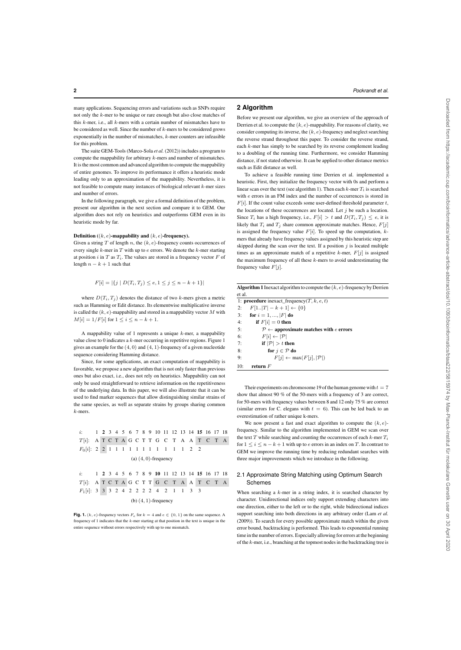**2** *Pockrandt et al.*

many applications. Sequencing errors and variations such as SNPs require not only the k-mer to be unique or rare enough but also close matches of this  $k$ -mer, i.e., all  $k$ -mers with a certain number of mismatches have to be considered as well. Since the number of  $k$ -mers to be considered grows exponentially in the number of mismatches, k-mer counters are infeasible for this problem.

The suite GEM-Tools (Marco-Sola *et al.* (2012)) includes a program to compute the mappability for arbitrary k-mers and number of mismatches. It is the most common and advanced algorithm to compute the mappability of entire genomes. To improve its performance it offers a heuristic mode leading only to an approximation of the mappability. Nevertheless, it is not feasible to compute many instances of biological relevant k-mer sizes and number of errors.

In the following paragraph, we give a formal definition of the problem, present our algorithm in the next section and compare it to GEM. Our algorithm does not rely on heuristics and outperforms GEM even in its heuristic mode by far.

## Definition  $((k, e)$ -mappability and  $(k, e)$ -frequency).

Given a string T of length n, the  $(k, e)$ -frequency counts occurrences of every single  $k$ -mer in  $T$  with up to  $e$  errors. We denote the  $k$ -mer starting at position  $i$  in  $T$  as  $T_i$ . The values are stored in a frequency vector  $F$  of length  $n - k + 1$  such that

$$
F[i] = |\{j \mid D(T_i, T_j) \le e, 1 \le j \le n - k + 1\}|
$$

where  $D(T_i, T_j)$  denotes the distance of two k-mers given a metric such as Hamming or Edit distance. Its elementwise multiplicative inverse is called the  $(k, e)$ -mappability and stored in a mappability vector M with  $M[i] = 1/F[i]$  for  $1 \leq i \leq n - k + 1$ .

A mappability value of 1 represents a unique  $k$ -mer, a mappability value close to 0 indicates a  $k$ -mer occurring in repetitive regions. Figure 1 gives an example for the  $(4, 0)$  and  $(4, 1)$ -frequency of a given nucleotide sequence considering Hamming distance.

Since, for some applications, an exact computation of mappability is favorable, we propose a new algorithm that is not only faster than previous ones but also exact, i.e., does not rely on heuristics. Mappability can not only be used straightforward to retrieve information on the repetitiveness of the underlying data. In this paper, we will also illustrate that it can be used to find marker sequences that allow distinguishing similar strains of the same species, as well as separate strains by groups sharing common k-mers.

i: 1 2 3 4 5 6 7 8 9 10 11 12 13 14 15 16 17 18  $T[i]$ : A T C T A G C T T G C T A A T C T A  $F_0[i]$ : 2 2 1 1 1 1 1 1 1 1 1 1 1 1 2 2 (a)  $(4, 0)$ -frequency

```
i: 1 2 3 4 5 6 7 8 9 10 11 12 13 14 15 16 17 18
T[i] \colon A T C T A G C T T G C T A A T C T A
F_1[i]: 3 3 3 2 4 2 2 2 2 2 4 2 1 1 3 3(b) (4, 1)-frequency
```
**Fig. 1.**  $(k, e)$ -frequency vectors  $F_e$  for  $k = 4$  and  $e \in \{0, 1\}$  on the same sequence. A frequency of 1 indicates that the  $k$ -mer starting at that position in the text is unique in the entire sequence without errors respectively with up to one mismatch.

## **2 Algorithm**

Before we present our algorithm, we give an overview of the approach of Derrien et al. to compute the  $(k, e)$ -mappability. For reasons of clarity, we consider computing its inverse, the  $(k, e)$ -frequency and neglect searching the reverse strand throughout this paper. To consider the reverse strand, each k-mer has simply to be searched by its reverse complement leading to a doubling of the running time. Furthermore, we consider Hamming distance, if not stated otherwise. It can be applied to other distance metrics such as Edit distance as well.

To achieve a feasible running time Derrien et al. implemented a heuristic. First, they initialize the frequency vector with 0s and perform a linear scan over the text (see algorithm 1). Then each  $k$ -mer  $T_i$  is searched with e errors in an FM index and the number of occurrences is stored in  $F[i]$ . If the count value exceeds some user-defined threshold parameter t, the locations of these occurrences are located. Let  $j$  be such a location. Since  $T_i$  has a high frequency, i.e.,  $F[i] > t$  and  $D(T_i, T_j) \leq e$ , it is likely that  $T_i$  and  $T_j$  share common approximate matches. Hence,  $F[j]$ is assigned the frequency value  $F[i]$ . To speed up the computation,  $k$ mers that already have frequency values assigned by this heuristic step are skipped during the scan over the text. If a position  $j$  is located multiple times as an approximate match of a repetitive  $k$ -mer,  $F[j]$  is assigned the maximum frequency of all these  $k$ -mers to avoid underestimating the frequency value  $F[j]$ .

| <b>Algorithm 1</b> Inexact algorithm to compute the $(k, e)$ -frequency by Derrien |  |
|------------------------------------------------------------------------------------|--|
| et al.                                                                             |  |

1: procedure inexact\_frequency( $T, k, e, t$ ) 2:  $F[1..|T| - k + 1] \leftarrow \{0\}$ 3: for  $i = 1, ..., |F|$  do 4: if  $F[i] = 0$  then 5:  $\mathcal{P} \leftarrow \text{approximate matches with } e \text{ errors}$ 6:  $F[i] \leftarrow |\mathcal{P}|$ 7: if  $|\mathcal{P}| > t$  then 8: for  $j \in \mathcal{P}$  do 9:  $F[j] \leftarrow \max(F[j], |\mathcal{P}|)$ 10: **return**  $F$ 

Their experiments on chromosome 19 of the human genome with  $t = 7$ show that almost 90 % of the 50-mers with a frequency of 3 are correct, for 50-mers with frequency values between 8 and 12 only 75 % are correct (similar errors for C. elegans with  $t = 6$ ). This can be led back to an overestimation of rather unique k-mers.

We now present a fast and exact algorithm to compute the  $(k, e)$ frequency. Similar to the algorithm implemented in GEM we scan over the text T while searching and counting the occurrences of each  $k$ -mer  $T_i$ for  $1 \leq i \leq n - k + 1$  with up to e errors in an index on T. In contrast to GEM we improve the running time by reducing redundant searches with three major improvements which we introduce in the following.

# 2.1 Approximate String Matching using Optimum Search Schemes

When searching a  $k$ -mer in a string index, it is searched character by character. Unidirectional indices only support extending characters into one direction, either to the left or to the right, while bidirectional indices support searching into both directions in any arbitrary order (Lam *et al.* (2009)). To search for every possible approximate match within the given error bound, backtracking is performed. This leads to exponential running time in the number of errors. Especially allowing for errors at the beginning of the k-mer, i.e., branching at the topmost nodes in the backtracking tree is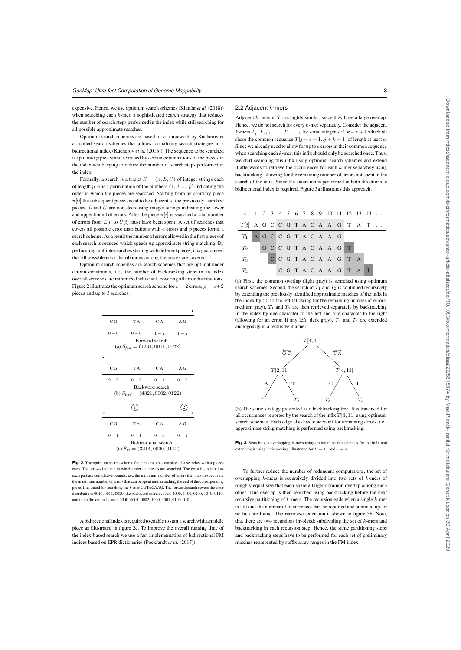expensive. Hence, we use optimum search schemes (Kianfar *et al.* (2018)) when searching each  $k$ -mer, a sophisticated search strategy that reduces the number of search steps performed in the index while still searching for all possible approximate matches.

Optimum search schemes are based on a framework by Kucherov et al. called search schemes that allows formalizing search strategies in a bidirectional index (Kucherov *et al.* (2016)). The sequence to be searched is split into  $p$  pieces and searched by certain combinations of the pieces in the index while trying to reduce the number of search steps performed in the index.

Formally, a search is a triplet  $S = (\pi, L, U)$  of integer strings each of length p.  $\pi$  is a permutation of the numbers  $\{1, 2, ..., p\}$  indicating the order in which the pieces are searched. Starting from an arbitrary piece  $\pi[0]$  the subsequent pieces need to be adjacent to the previously searched pieces.  $L$  and  $U$  are non-decreasing integer strings indicating the lower and upper bound of errors. After the piece  $\pi[i]$  is searched a total number of errors from  $L[i]$  to  $U[i]$  must have been spent. A set of searches that covers all possible error distributions with  $e$  errors and  $p$  pieces forms a search scheme. As a result the number of errors allowed in the first pieces of each search is reduced which speeds up approximate string matching. By performing multiple searches starting with different pieces, it is guaranteed that all possible error distributions among the pieces are covered.

Optimum search schemes are search schemes that are optimal under certain constraints, i.e., the number of backtracking steps in an index over all searches are minimized while still covering all error distributions. Figure 2 illustrates the optimum search scheme for  $e = 2$  errors,  $p = e+2$ pieces and up to 3 searches.



**Fig. 2.** The optimum search scheme for 2 mismatches consists of 3 searches with 4 pieces each. The arrows indicate in which order the pieces are searched. The error bounds below each part are cumulative bounds, i.e., the minimum number of errors that must respectively the maximum number of errors that can be spent until searching the end of the corresponding piece. Illustrated for searching the 8-mer CGTACAAG. The forward search covers the error distributions 0010, 0011, 0020, the backward search covers 2000, 1100, 0200, 1010, 0110, and the bidirectional search 0000, 0001, 0002, 1000, 1001, 0100, 0101.

A bidirectional index is required to enable to start a search with a middle piece as illustrated in figure 2c. To improve the overall running time of the index-based search we use a fast implementation of bidirectional FM indices based on EPR dictionaries (Pockrandt *et al.* (2017)).

## 2.2 Adjacent  $k$ -mers

Adjacent  $k$ -mers in  $T$  are highly similar, since they have a large overlap. Hence, we do not search for every k-mer separately. Consider the adjacent k-mers  $T_j, T_{j+1}, \ldots, T_{j+s-1}$  for some integer  $s \leq k - e + 1$  which all share the common sequence  $T[j + s - 1..j + k - 1]$  of length at least e. Since we already need to allow for up to e errors in their common sequence when searching each  $k$ -mer, this infix should only be searched once. Thus, we start searching this infix using optimum search schemes and extend it afterwards to retrieve the occurrences for each k-mer separately using backtracking, allowing for the remaining number of errors not spent in the search of the infix. Since the extension is performed in both directions, a bidirectional index is required. Figure 3a illustrates this approach.



(a) First, the common overlap (light gray) is searched using optimum search schemes. Second, the search of  $T_1$  and  $T_2$  is continued recursively by extending the previously identified approximate matches of the infix in the index by GC to the left (allowing for the remaining number of errors; medium gray).  $T_1$  and  $T_2$  are then retrieved separately by backtracking in the index by one character to the left and one character to the right (allowing for an error, if any left; dark gray).  $T_3$  and  $T_4$  are extended analogously in a recursive manner.



(b) The same strategy presented as a backtracking tree. It is traversed for all occurrences reported by the search of the infix  $T[4, 11]$  using optimum search schemes. Each edge also has to account for remaining errors, i.e., approximate string matching is performed using backtracking.

**Fig. 3.** Searching s overlapping k-mers using optimum search schemes for the infix and extending it using backtracking. Illustrated for  $k = 11$  and  $s = 4$ .

To further reduce the number of redundant computations, the set of overlapping k-mers is recursively divided into two sets of k-mers of roughly equal size that each share a larger common overlap among each other. This overlap is then searched using backtracking before the next recursive partitioning of  $k$ -mers. The recursion ends when a single  $k$ -mer is left and the number of occurrences can be reported and summed up, or no hits are found. The recursive extension is shown in figure 3b. Note, that there are two recursions involved: subdividing the set of  $k$ -mers and backtracking in each recursion step. Hence, the same partitioning steps and backtracking steps have to be performed for each set of preliminary matches represented by suffix array ranges in the FM index.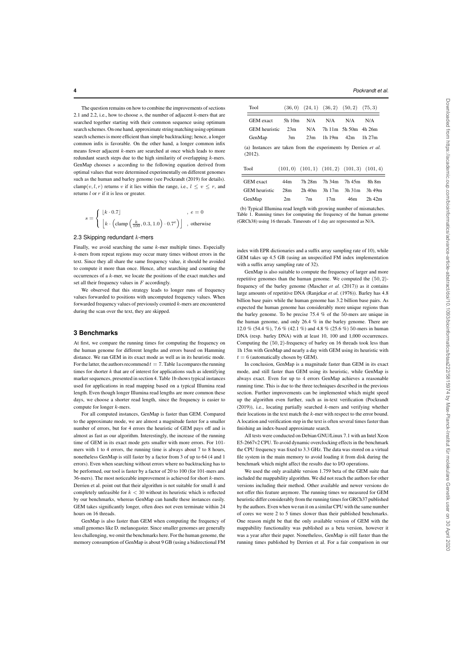**4** *Pockrandt et al.*

The question remains on how to combine the improvements of sections 2.1 and 2.2, i.e., how to choose  $s$ , the number of adjacent  $k$ -mers that are searched together starting with their common sequence using optimum search schemes. On one hand, approximate string matching using optimum search schemes is more efficient than simple backtracking; hence, a longer common infix is favorable. On the other hand, a longer common infix means fewer adjacent k-mers are searched at once which leads to more redundant search steps due to the high similarity of overlapping k-mers. GenMap chooses s according to the following equation derived from optimal values that were determined experimentally on different genomes such as the human and barley genome (see Pockrandt (2019) for details). clamp(v, l, r) returns v if it lies within the range, i.e.,  $l \le v \le r$ , and returns  $l$  or  $r$  if it is less or greater.

$$
s = \left\{ \begin{array}{ll} \lfloor k \cdot 0.7 \rfloor & \quad , \; e=0 \\ \left \lfloor k \cdot \left(\text{clamp}\left(\frac{k}{100}, 0.3, 1.0\right) \cdot 0.7^e\right) \right \rfloor & \quad , \; \text{otherwise} \end{array} \right.
$$

# 2.3 Skipping redundant  $k$ -mers

Finally, we avoid searching the same  $k$ -mer multiple times. Especially k-mers from repeat regions may occur many times without errors in the text. Since they all share the same frequency value, it should be avoided to compute it more than once. Hence, after searching and counting the occurrences of a k-mer, we locate the positions of the exact matches and set all their frequency values in  $F$  accordingly.

We observed that this strategy leads to longer runs of frequency values forwarded to positions with uncomputed frequency values. When forwarded frequency values of previously counted k-mers are encountered during the scan over the text, they are skipped.

#### **3 Benchmarks**

At first, we compare the running times for computing the frequency on the human genome for different lengths and errors based on Hamming distance. We ran GEM in its exact mode as well as in its heuristic mode. For the latter, the authors recommend  $t = 7$ . Table 1a compares the running times for shorter  $k$  that are of interest for applications such as identifying marker sequences, presented in section 4. Table 1b shows typical instances used for applications in read mapping based on a typical Illumina read length. Even though longer Illumina read lengths are more common these days, we choose a shorter read length, since the frequency is easier to compute for longer k-mers.

For all computed instances, GenMap is faster than GEM. Compared to the approximate mode, we are almost a magnitude faster for a smaller number of errors, but for 4 errors the heuristic of GEM pays off and is almost as fast as our algorithm. Interestingly, the increase of the running time of GEM in its exact mode gets smaller with more errors. For 101 mers with 1 to 4 errors, the running time is always about 7 to 8 hours, nonetheless GenMap is still faster by a factor from 3 of up to 64 (4 and 1 errors). Even when searching without errors where no backtracking has to be performed, our tool is faster by a factor of 20 to 100 (for 101-mers and 36-mers). The most noticeable improvement is achieved for short  $k$ -mers. Derrien et al. point out that their algorithm is not suitable for small  $k$  and completely unfeasible for  $k < 30$  without its heuristic which is reflected by our benchmarks, whereas GenMap can handle these instances easily. GEM takes significantly longer, often does not even terminate within 24 hours on 16 threads.

GenMap is also faster than GEM when computing the frequency of small genomes like D. melanogaster. Since smaller genomes are generally less challenging, we omit the benchmarks here. For the human genome, the memory consumption of GenMap is about 9 GB (using a bidirectional FM

| Tool                                                                      |        |     | $(36,0)$ $(24,1)$ $(36,2)$ $(50,2)$ $(75,3)$ |                       |                                                   |
|---------------------------------------------------------------------------|--------|-----|----------------------------------------------|-----------------------|---------------------------------------------------|
| <b>GEM</b> exact                                                          | 5h 10m | N/A | N/A                                          | N/A                   | N/A                                               |
| <b>GEM</b> heuristic                                                      | 23m    | N/A |                                              | $7h11m$ 5h 50m 4h 26m |                                                   |
| GenMap                                                                    | 3m     | 23m | 1h 19m $42m$                                 |                       | 1 $h$ 2.7 $m$                                     |
| (a) Instances are taken from the experiments by Derrien et al.<br>(2012). |        |     |                                              |                       |                                                   |
| Tool                                                                      |        |     |                                              |                       | $(101,0)$ $(101,1)$ $(101,2)$ $(101,3)$ $(101,4)$ |

| <b>GEM</b> exact     | 44m |                |     | 7h 28m 7h 34m 7h 45m                    | 8h 8m  |
|----------------------|-----|----------------|-----|-----------------------------------------|--------|
| <b>GEM</b> heuristic | 28m |                |     | $2h\ 40m$ $3h\ 17m$ $3h\ 31m$ $3h\ 49m$ |        |
| GenMap               | 2m  | 7 <sub>m</sub> | 17m | 46m                                     | 2h 42m |
|                      |     |                |     |                                         |        |

(b) Typical Illumina read length with growing number of mismatches. Table 1. Running times for computing the frequency of the human genome (GRCh38) using 16 threads. Timeouts of 1 day are represented as N/A.

index with EPR dictionaries and a suffix array sampling rate of 10), while GEM takes up 4.5 GB (using an unspecified FM index implementation with a suffix array sampling rate of 32).

GenMap is also suitable to compute the frequency of larger and more repetitive genomes than the human genome. We computed the (50, 2) frequency of the barley genome (Mascher *et al.* (2017)) as it contains large amounts of repetitive DNA (Ranjekar *et al.* (1976)). Barley has 4.8 billion base pairs while the human genome has 3.2 billion base pairs. As expected the human genome has considerably more unique regions than the barley genome. To be precise  $75.4 \%$  of the 50-mers are unique in the human genome, and only 26.4 % in the barley genome. There are 12.0 % (54.4 %), 7.6 % (42.1 %) and 4.8 % (25.6 %) 50-mers in human DNA (resp. barley DNA) with at least 10, 100 and 1,000 occurrences. Computing the (50, 2)-frequency of barley on 16 threads took less than 1h 15m with GenMap and nearly a day with GEM using its heuristic with  $t = 6$  (automatically chosen by GEM).

In conclusion, GenMap is a magnitude faster than GEM in its exact mode, and still faster than GEM using its heuristic, while GenMap is always exact. Even for up to 4 errors GenMap achieves a reasonable running time. This is due to the three techniques described in the previous section. Further improvements can be implemented which might speed up the algorithm even further, such as in-text verification (Pockrandt (2019)), i.e., locating partially searched  $k$ -mers and verifying whether their locations in the text match the k-mer with respect to the error bound. A location and verification step in the text is often several times faster than finishing an index-based approximate search.

All tests were conducted on Debian GNU/Linux 7.1 with an Intel Xeon E5-2667v2 CPU. To avoid dynamic overclocking effects in the benchmark the CPU frequency was fixed to 3.3 GHz. The data was stored on a virtual file system in the main memory to avoid loading it from disk during the benchmark which might affect the results due to I/O operations.

We used the only available version 1.759 beta of the GEM suite that included the mappability algorithm. We did not reach the authors for other versions including their method. Other available and newer versions do not offer this feature anymore. The running times we measured for GEM heuristic differ considerably from the running times for GRCh37 published by the authors. Even when we ran it on a similar CPU with the same number of cores we were 2 to 5 times slower than their published benchmarks. One reason might be that the only available version of GEM with the mappability functionality was published as a beta version, however it was a year after their paper. Nonetheless, GenMap is still faster than the running times published by Derrien et al. For a fair comparison in our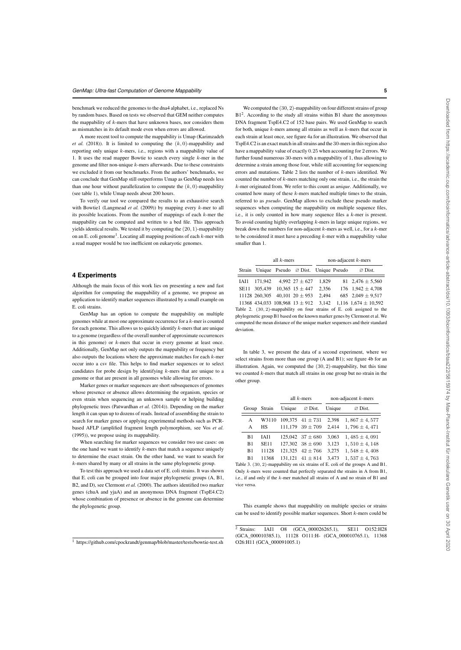benchmark we reduced the genomes to the dna4 alphabet, i.e., replaced Ns by random bases. Based on tests we observed that GEM neither computes the mappability of  $k$ -mers that have unknown bases, nor considers them as mismatches in its default mode even when errors are allowed.

A more recent tool to compute the mappability is Umap (Karimzadeh *et al.* (2018)). It is limited to computing the  $(k, 0)$ -mappability and reporting only unique  $k$ -mers, i.e., regions with a mappability value of 1. It uses the read mapper Bowtie to search every single k-mer in the genome and filter non-unique  $k$ -mers afterwards. Due to these constraints we excluded it from our benchmarks. From the authors' benchmarks, we can conclude that GenMap still outperforms Umap as GenMap needs less than one hour without parallelization to compute the  $(k, 0)$ -mappability (see table 1), while Umap needs about 200 hours.

To verify our tool we compared the results to an exhaustive search with Bowtie1 (Langmead et al. (2009)) by mapping every k-mer to all its possible locations. From the number of mappings of each  $k$ -mer the mappability can be computed and written to a bed file. This approach yields identical results. We tested it by computing the (20, 1)-mappability on an E. coli genome<sup>1</sup>. Locating all mapping positions of each  $k$ -mer with a read mapper would be too inefficient on eukaryotic genomes.

# **4 Experiments**

Although the main focus of this work lies on presenting a new and fast algorithm for computing the mappability of a genome, we propose an application to identify marker sequences illustrated by a small example on E. coli strains.

GenMap has an option to compute the mappability on multiple genomes while at most one approximate occurrence for a k-mer is counted for each genome. This allows us to quickly identify  $k$ -mers that are unique to a genome (regardless of the overall number of approximate occurrences in this genome) or  $k$ -mers that occur in every genome at least once. Additionally, GenMap not only outputs the mappability or frequency but also outputs the locations where the approximate matches for each  $k$ -mer occur into a csv file. This helps to find marker sequences or to select candidates for probe design by identifying k-mers that are unique to a genome or that are present in all genomes while allowing for errors.

Marker genes or marker sequences are short subsequences of genomes whose presence or absence allows determining the organism, species or even strain when sequencing an unknown sample or helping building phylogenetic trees (Patwardhan *et al.* (2014)). Depending on the marker length it can span up to dozens of reads. Instead of assembling the strain to search for marker genes or applying experimental methods such as PCRbased AFLP (amplified fragment length polymorphism, see Vos *et al.* (1995)), we propose using its mappability.

When searching for marker sequences we consider two use cases: on the one hand we want to identify  $k$ -mers that match a sequence uniquely to determine the exact strain. On the other hand, we want to search for k-mers shared by many or all strains in the same phylogenetic group.

To test this approach we used a data set of E. coli strains. It was shown that E. coli can be grouped into four major phylogenetic groups (A, B1, B2, and D), see Clermont *et al.* (2000). The authors identified two marker genes (chuA and yjaA) and an anonymous DNA fragment (TspE4.C2) whose combination of presence or absence in the genome can determine the phylogenetic group.

<sup>1</sup> https://github.com/cpockrandt/genmap/blob/master/tests/bowtie-test.sh

We computed the (30, 2)-mappability on four different strains of group B1<sup>2</sup>. According to the study all strains within B1 share the anonymous DNA fragment TspE4.C2 of 152 base pairs. We used GenMap to search for both, unique  $k$ -mers among all strains as well as  $k$ -mers that occur in each strain at least once, see figure 4a for an illustration. We observed that TspE4.C2 is an exact match in all strains and the 30-mers in this region also have a mappability value of exactly 0.25 when accounting for 2 errors. We further found numerous 30-mers with a mappability of 1, thus allowing to determine a strain among those four, while still accounting for sequencing errors and mutations. Table 2 lists the number of k-mers identified. We counted the number of  $k$ -mers matching only one strain, i.e., the strain the k-mer originated from. We refer to this count as *unique*. Additionally, we counted how many of these  $k$ -mers matched multiple times to the strain. referred to as *pseudo*. GenMap allows to exclude these pseudo marker sequences when computing the mappability on multiple sequence files, i.e., it is only counted in how many sequence files a k-mer is present. To avoid counting highly overlapping  $k$ -mers in large unique regions, we break down the numbers for non-adjacent k-mers as well, i.e., for a k-mer to be considered it must have a preceding  $k$ -mer with a mappability value smaller than 1.

|  | all $k$ -mers |                                                        | non-adjacent $k$ -mers |  |                              |
|--|---------------|--------------------------------------------------------|------------------------|--|------------------------------|
|  |               | Strain Unique Pseudo $\varnothing$ Dist. Unique Pseudo |                        |  | $\varnothing$ Dist.          |
|  |               | IAI1 171.942 4.992 27 $\pm$ 627                        | 1.829                  |  | $81 \quad 2.476 \pm 5.560$   |
|  |               | SE11 305.439 10.365 15 $\pm$ 447                       | 2.356                  |  | 176 $1,942 \pm 4.708$        |
|  |               | 11128 260,305 40,101 20 $\pm$ 953                      | 2.494                  |  | 685 2,049 $\pm$ 9,517        |
|  |               | $11260$ $121022$ $100000$ $1210$                       | 2.142                  |  | $1.117 \pm 7.71 \pm 1.0.702$ |

11368 434,033 108,968  $13 \pm 912$  3,142 1,116  $1,674 \pm 10,592$ Table 2. (30, 2)-mappability on four strains of E. coli assigned to the phylogenetic group B1 based on the known marker genes by Clermont et al. We computed the mean distance of the unique marker sequences and their standard deviation.

In table 3, we present the data of a second experiment, where we select strains from more than one group (A and B1); see figure 4b for an illustration. Again, we computed the (30, 2)-mappability, but this time we counted  $k$ -mers that match all strains in one group but no strain in the other group.

|                |             |        | all $k$ -mers              |        | non-adjacent $k$ -mers |
|----------------|-------------|--------|----------------------------|--------|------------------------|
| Group Strain   |             | Unique | $\varnothing$ Dist.        | Unique | $\varnothing$ Dist.    |
| A              | W3110       |        | $109.375$ $41 \pm 731$     | 2,398  | $1,867 \pm 4,577$      |
| A              | <b>HS</b>   |        | $111.179$ 39 $\pm$ 709     | 2.414  | $1,796 \pm 4,471$      |
| B <sub>1</sub> | IAI1        |        | $125,042$ $37 \pm 680$     | 3,063  | $1,485 \pm 4,091$      |
| B1             | <b>SE11</b> |        | $127,302$ $38 \pm 690$     | 3,123  | $1,510 \pm 4,148$      |
| B1             | 11128       |        | $121.325 \quad 42 \pm 766$ | 3,275  | $1,548 \pm 4,408$      |
| B1             | 11368       |        | $131,121$ $41 \pm 814$     | 3.473  | $1,537 \pm 4,763$      |

Table 3. (30, 2)-mappability on six strains of E. coli of the groups A and B1. Only k-mers were counted that perfectly separated the strains in A from B1, i.e., if and only if the k-mer matched all strains of A and no strain of B1 and vice versa.

This example shows that mappability on multiple species or strains can be used to identify possible marker sequences. Short  $k$ -mers could be

 $\overline{2}$  Strains: IAI1 O8 (GCA\_000026265.1), SE11 O152:H28 (GCA\_000010385.1), 11128 O111:H- (GCA\_000010765.1), 11368 O26:H11 (GCA\_000091005.1)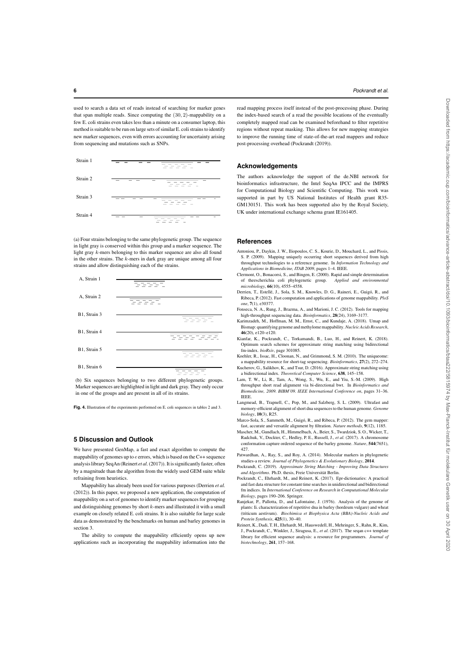used to search a data set of reads instead of searching for marker genes that span multiple reads. Since computing the (30, 2)-mappability on a few E. coli strains even takes less than a minute on a consumer laptop, this method is suitable to be run on large sets of similar E. coli strains to identify new marker sequences, even with errors accounting for uncertainty arising from sequencing and mutations such as SNPs.

| Strain 1 | $\sim$                                                                                                                                                                                                                                                                                                                                                                                                                                                                                                                      |
|----------|-----------------------------------------------------------------------------------------------------------------------------------------------------------------------------------------------------------------------------------------------------------------------------------------------------------------------------------------------------------------------------------------------------------------------------------------------------------------------------------------------------------------------------|
| Strain 2 | --<br>-                                                                                                                                                                                                                                                                                                                                                                                                                                                                                                                     |
| Strain 3 | $\sim$                                                                                                                                                                                                                                                                                                                                                                                                                                                                                                                      |
| Strain 4 | $\overline{\phantom{a}}$<br><b>STATISTICS</b><br>$\frac{1}{2} \left( \frac{1}{2} \right) \left( \frac{1}{2} \right) \left( \frac{1}{2} \right) \left( \frac{1}{2} \right) \left( \frac{1}{2} \right) \left( \frac{1}{2} \right) \left( \frac{1}{2} \right) \left( \frac{1}{2} \right) \left( \frac{1}{2} \right) \left( \frac{1}{2} \right) \left( \frac{1}{2} \right) \left( \frac{1}{2} \right) \left( \frac{1}{2} \right) \left( \frac{1}{2} \right) \left( \frac{1}{2} \right) \left( \frac{1}{2} \right) \left( \frac$ |

(a) Four strains belonging to the same phylogenetic group. The sequence in light gray is conserved within this group and a marker sequence. The light gray k-mers belonging to this marker sequence are also all found in the other strains. The  $k$ -mers in dark gray are unique among all four strains and allow distinguishing each of the strains.



(b) Six sequences belonging to two different phylogenetic groups. Marker sequences are highlighted in light and dark gray. They only occur in one of the groups and are present in all of its strains.

**Fig. 4.** Illustration of the experiments performed on E. coli sequences in tables 2 and 3.

## **5 Discussion and Outlook**

We have presented GenMap, a fast and exact algorithm to compute the mappability of genomes up to e errors, which is based on the C++ sequence analysis library SeqAn (Reinert *et al.*(2017)). It is significantly faster, often by a magnitude than the algorithm from the widely used GEM suite while refraining from heuristics.

Mappability has already been used for various purposes (Derrien *et al.* (2012)). In this paper, we proposed a new application, the computation of mappability on a set of genomes to identify marker sequences for grouping and distinguishing genomes by short  $k$ -mers and illustrated it with a small example on closely related E. coli strains. It is also suitable for large scale data as demonstrated by the benchmarks on human and barley genomes in section 3.

The ability to compute the mappability efficiently opens up new applications such as incorporating the mappability information into the read mapping process itself instead of the post-processing phase. During the index-based search of a read the possible locations of the eventually completely mapped read can be examined beforehand to filter repetitive regions without repeat masking. This allows for new mapping strategies to improve the running time of state-of-the-art read mappers and reduce post-processing overhead (Pockrandt (2019)).

#### **Acknowledgements**

The authors acknowledge the support of the de.NBI network for bioinformatics infrastructure, the Intel SeqAn IPCC and the IMPRS for Computational Biology and Scientific Computing. This work was supported in part by US National Institutes of Health grant R35- GM130151. This work has been supported also by the Royal Society, UK under international exchange schema grant IE161405.

#### **References**

- Antoniou, P., Daykin, J. W., Iliopoulos, C. S., Kourie, D., Mouchard, L., and Pissis, S. P. (2009). Mapping uniquely occurring short sequences derived from high throughput technologies to a reference genome. In *Information Technology and Applications in Biomedicine, ITAB 2009*, pages 1–4. IEEE.
- Clermont, O., Bonacorsi, S., and Bingen, E. (2000). Rapid and simple determination of theescherichia coli phylogenetic group. *Applied and environmental microbiology*, 66(10), 4555–4558.
- Derrien, T., Estellé, J., Sola, S. M., Knowles, D. G., Raineri, E., Guigó, R., and Ribeca, P. (2012). Fast computation and applications of genome mappability. *PloS one*, 7(1), e30377.
- Fonseca, N. A., Rung, J., Brazma, A., and Marioni, J. C. (2012). Tools for mapping high-throughput sequencing data. *Bioinformatics*, 28(24), 3169–3177.
- Karimzadeh, M., Hoffman, M. M., Ernst, C., and Kundaje, A. (2018). Umap and Bismap: quantifying genome and methylome mappability. *Nucleic Acids Research*, 46(20), e120–e120.
- Kianfar, K., Pockrandt, C., Torkamandi, B., Luo, H., and Reinert, K. (2018). Optimum search schemes for approximate string matching using bidirectional fm-index. *bioRxiv*, page 301085.
- Koehler, R., Issac, H., Cloonan, N., and Grimmond, S. M. (2010). The uniqueome: a mappability resource for short-tag sequencing. *Bioinformatics*, 27(2), 272–274. Kucherov, G., Salikhov, K., and Tsur, D. (2016). Approximate string matching using
- a bidirectional index. *Theoretical Computer Science*, 638, 145–158. Lam, T. W., Li, R., Tam, A., Wong, S., Wu, E., and Yiu, S.-M. (2009). High throughput short read alignment via bi-directional bwt. In *Bioinformatics Biomedicine, 2009. BIBM'09. IEEE International Conference on*, pages 31–36. IEEE.
- Langmead, B., Trapnell, C., Pop, M., and Salzberg, S. L. (2009). Ultrafast and memory-efficient alignment of short dna sequences to the human genome. *Genome biology*, 10(3), R25.
- Marco-Sola, S., Sammeth, M., Guigó, R., and Ribeca, P. (2012). The gem mapper: fast, accurate and versatile alignment by filtration. *Nature methods*, 9(12), 1185.
- Mascher, M., Gundlach, H., Himmelbach, A., Beier, S., Twardziok, S. O., Wicker, T., Radchuk, V., Dockter, C., Hedley, P. E., Russell, J., et al. (2017). A chromosome conformation capture ordered sequence of the barley genome. *Nature*, 544(7651), 427.
- Patwardhan, A., Ray, S., and Roy, A. (2014). Molecular markers in phylogenetic studies-a review. *Journal of Phylogenetics & Evolutionary Biology*, 2014.
- Pockrandt, C. (2019). *Approximate String Matching Improving Data Structures and Algorithms*. Ph.D. thesis, Freie Universität Berlin. Pockrandt, C., Ehrhardt, M., and Reinert, K. (2017). Epr-dictionaries: A practical
- and fast data structure for constant time searches in unidirectional and bidirectional fm indices. In *International Conference on Research in Computational Molecular Biology*, pages 190–206. Springer.
- Ranjekar, P., Pallotta, D., and Lafontaine, J. (1976). Analysis of the genome of plants: Ii. characterization of repetitive dna in barley (hordeum vulgare) and wheat (triticum aestivum). *Biochimica et Biophysica Acta (BBA)-Nucleic Acids and Protein Synthesis*, 425(1), 30–40.
- Reinert, K., Dadi, T. H., Ehrhardt, M., Hauswedell, H., Mehringer, S., Rahn, R., Kim, J., Pockrandt, C., Winkler, J., Siragusa, E., *et al.* (2017). The seqan c++ template library for efficient sequence analysis: a resource for programmers. *Journal of biotechnology*, 261, 157–168.